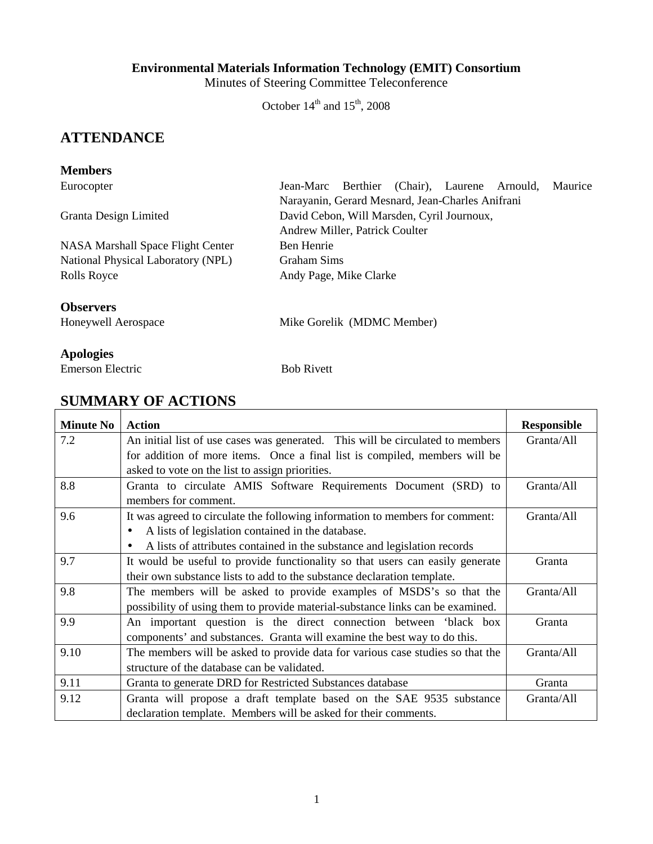#### **Environmental Materials Information Technology (EMIT) Consortium**

Minutes of Steering Committee Teleconference

October  $14<sup>th</sup>$  and  $15<sup>th</sup>$ , 2008

# **ATTENDANCE**

#### **Members**

NASA Marshall Space Flight Center Ben Henrie National Physical Laboratory (NPL) Graham Sims Rolls Royce **Andy Page, Mike Clarke** 

Eurocopter Jean-Marc Berthier (Chair), Laurene Arnould, Maurice Narayanin, Gerard Mesnard, Jean-Charles Anifrani Granta Design Limited David Cebon, Will Marsden, Cyril Journoux, Andrew Miller, Patrick Coulter

# **Observers**

Honeywell Aerospace Mike Gorelik (MDMC Member)

### **Apologies**

Emerson Electric Bob Rivett

# **SUMMARY OF ACTIONS**

| <b>Minute No</b> | <b>Action</b>                                                                         | <b>Responsible</b> |
|------------------|---------------------------------------------------------------------------------------|--------------------|
| 7.2              | An initial list of use cases was generated. This will be circulated to members        | Granta/All         |
|                  | for addition of more items. Once a final list is compiled, members will be            |                    |
|                  | asked to vote on the list to assign priorities.                                       |                    |
| 8.8              | Granta to circulate AMIS Software Requirements Document (SRD) to                      | Granta/All         |
|                  | members for comment.                                                                  |                    |
| 9.6              | It was agreed to circulate the following information to members for comment:          | Granta/All         |
|                  | A lists of legislation contained in the database.<br>$\bullet$                        |                    |
|                  | A lists of attributes contained in the substance and legislation records<br>$\bullet$ |                    |
| 9.7              | It would be useful to provide functionality so that users can easily generate         | Granta             |
|                  | their own substance lists to add to the substance declaration template.               |                    |
| 9.8              | The members will be asked to provide examples of MSDS's so that the                   | Granta/All         |
|                  | possibility of using them to provide material-substance links can be examined.        |                    |
| 9.9              | An important question is the direct connection between 'black box                     | Granta             |
|                  | components' and substances. Granta will examine the best way to do this.              |                    |
| 9.10             | The members will be asked to provide data for various case studies so that the        | Granta/All         |
|                  | structure of the database can be validated.                                           |                    |
| 9.11             | Granta to generate DRD for Restricted Substances database                             | Granta             |
| 9.12             | Granta will propose a draft template based on the SAE 9535 substance                  | Granta/All         |
|                  | declaration template. Members will be asked for their comments.                       |                    |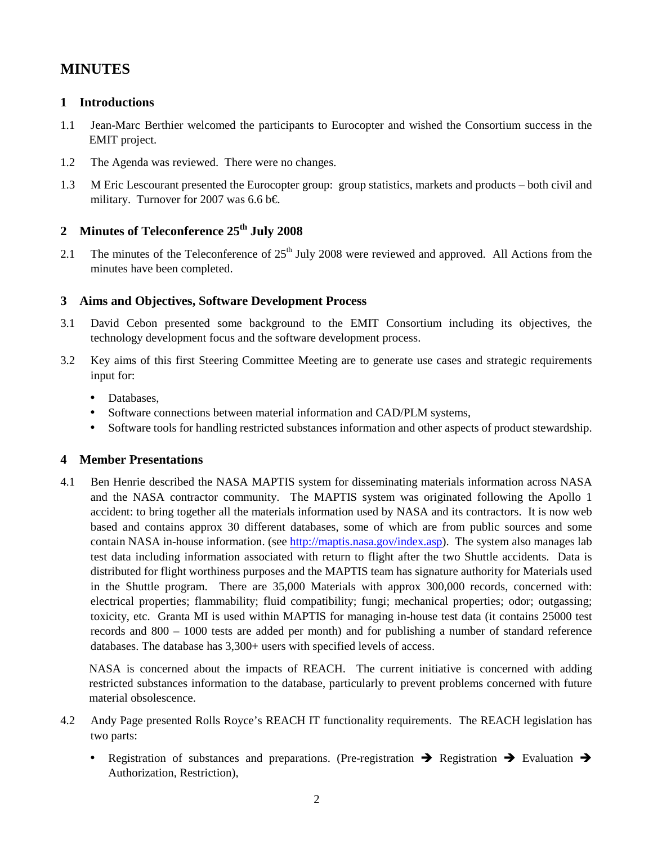# **MINUTES**

### **1 Introductions**

- 1.1 Jean-Marc Berthier welcomed the participants to Eurocopter and wished the Consortium success in the EMIT project.
- 1.2 The Agenda was reviewed. There were no changes.
- 1.3 M Eric Lescourant presented the Eurocopter group: group statistics, markets and products both civil and military. Turnover for 2007 was 6.6 b€.

# **2 Minutes of Teleconference 25th July 2008**

2.1 The minutes of the Teleconference of  $25<sup>th</sup>$  July 2008 were reviewed and approved. All Actions from the minutes have been completed.

### **3 Aims and Objectives, Software Development Process**

- 3.1 David Cebon presented some background to the EMIT Consortium including its objectives, the technology development focus and the software development process.
- 3.2 Key aims of this first Steering Committee Meeting are to generate use cases and strategic requirements input for:
	- Databases,
	- Software connections between material information and CAD/PLM systems,
	- Software tools for handling restricted substances information and other aspects of product stewardship.

### **4 Member Presentations**

4.1 Ben Henrie described the NASA MAPTIS system for disseminating materials information across NASA and the NASA contractor community. The MAPTIS system was originated following the Apollo 1 accident: to bring together all the materials information used by NASA and its contractors. It is now web based and contains approx 30 different databases, some of which are from public sources and some contain NASA in-house information. (see http://maptis.nasa.gov/index.asp). The system also manages lab test data including information associated with return to flight after the two Shuttle accidents. Data is distributed for flight worthiness purposes and the MAPTIS team has signature authority for Materials used in the Shuttle program. There are 35,000 Materials with approx 300,000 records, concerned with: electrical properties; flammability; fluid compatibility; fungi; mechanical properties; odor; outgassing; toxicity, etc. Granta MI is used within MAPTIS for managing in-house test data (it contains 25000 test records and 800 – 1000 tests are added per month) and for publishing a number of standard reference databases. The database has 3,300+ users with specified levels of access.

NASA is concerned about the impacts of REACH. The current initiative is concerned with adding restricted substances information to the database, particularly to prevent problems concerned with future material obsolescence.

- 4.2 Andy Page presented Rolls Royce's REACH IT functionality requirements. The REACH legislation has two parts:
	- Registration of substances and preparations. (Pre-registration  $\rightarrow$  Registration  $\rightarrow$  Evaluation  $\rightarrow$ Authorization, Restriction),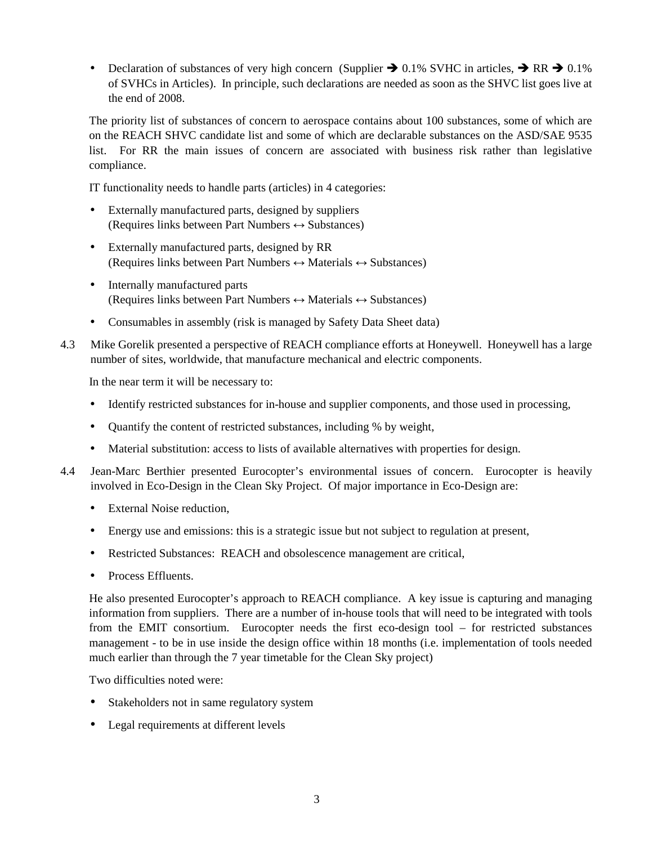• Declaration of substances of very high concern (Supplier  $\rightarrow$  0.1% SVHC in articles,  $\rightarrow$  RR  $\rightarrow$  0.1% of SVHCs in Articles). In principle, such declarations are needed as soon as the SHVC list goes live at the end of 2008.

The priority list of substances of concern to aerospace contains about 100 substances, some of which are on the REACH SHVC candidate list and some of which are declarable substances on the ASD/SAE 9535 list. For RR the main issues of concern are associated with business risk rather than legislative compliance.

IT functionality needs to handle parts (articles) in 4 categories:

- Externally manufactured parts, designed by suppliers (Requires links between Part Numbers  $\leftrightarrow$  Substances)
- Externally manufactured parts, designed by RR (Requires links between Part Numbers  $\leftrightarrow$  Materials  $\leftrightarrow$  Substances)
- Internally manufactured parts (Requires links between Part Numbers  $\leftrightarrow$  Materials  $\leftrightarrow$  Substances)
- Consumables in assembly (risk is managed by Safety Data Sheet data)
- 4.3 Mike Gorelik presented a perspective of REACH compliance efforts at Honeywell. Honeywell has a large number of sites, worldwide, that manufacture mechanical and electric components.

In the near term it will be necessary to:

- Identify restricted substances for in-house and supplier components, and those used in processing,
- Quantify the content of restricted substances, including % by weight,
- Material substitution: access to lists of available alternatives with properties for design.
- 4.4 Jean-Marc Berthier presented Eurocopter's environmental issues of concern. Eurocopter is heavily involved in Eco-Design in the Clean Sky Project. Of major importance in Eco-Design are:
	- External Noise reduction,
	- Energy use and emissions: this is a strategic issue but not subject to regulation at present,
	- Restricted Substances: REACH and obsolescence management are critical,
	- Process Effluents.

He also presented Eurocopter's approach to REACH compliance. A key issue is capturing and managing information from suppliers. There are a number of in-house tools that will need to be integrated with tools from the EMIT consortium. Eurocopter needs the first eco-design tool – for restricted substances management - to be in use inside the design office within 18 months (i.e. implementation of tools needed much earlier than through the 7 year timetable for the Clean Sky project)

Two difficulties noted were:

- Stakeholders not in same regulatory system
- Legal requirements at different levels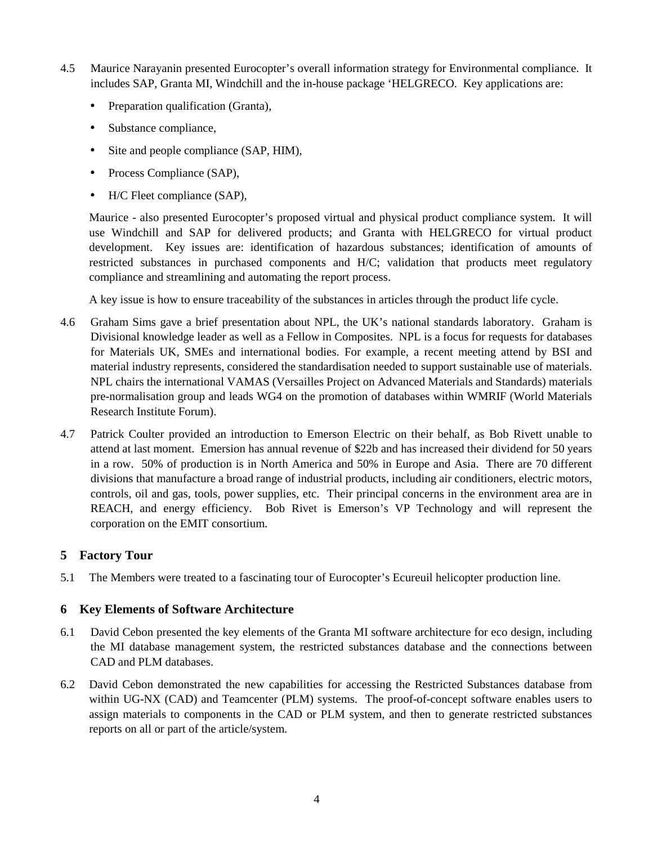- 4.5 Maurice Narayanin presented Eurocopter's overall information strategy for Environmental compliance. It includes SAP, Granta MI, Windchill and the in-house package 'HELGRECO. Key applications are:
	- Preparation qualification (Granta),
	- Substance compliance,
	- Site and people compliance (SAP, HIM),
	- Process Compliance (SAP),
	- H/C Fleet compliance (SAP),

Maurice - also presented Eurocopter's proposed virtual and physical product compliance system. It will use Windchill and SAP for delivered products; and Granta with HELGRECO for virtual product development. Key issues are: identification of hazardous substances; identification of amounts of restricted substances in purchased components and H/C; validation that products meet regulatory compliance and streamlining and automating the report process.

A key issue is how to ensure traceability of the substances in articles through the product life cycle.

- 4.6 Graham Sims gave a brief presentation about NPL, the UK's national standards laboratory. Graham is Divisional knowledge leader as well as a Fellow in Composites. NPL is a focus for requests for databases for Materials UK, SMEs and international bodies. For example, a recent meeting attend by BSI and material industry represents, considered the standardisation needed to support sustainable use of materials. NPL chairs the international VAMAS (Versailles Project on Advanced Materials and Standards) materials pre-normalisation group and leads WG4 on the promotion of databases within WMRIF (World Materials Research Institute Forum).
- 4.7 Patrick Coulter provided an introduction to Emerson Electric on their behalf, as Bob Rivett unable to attend at last moment. Emersion has annual revenue of \$22b and has increased their dividend for 50 years in a row. 50% of production is in North America and 50% in Europe and Asia. There are 70 different divisions that manufacture a broad range of industrial products, including air conditioners, electric motors, controls, oil and gas, tools, power supplies, etc. Their principal concerns in the environment area are in REACH, and energy efficiency. Bob Rivet is Emerson's VP Technology and will represent the corporation on the EMIT consortium.

### **5 Factory Tour**

5.1 The Members were treated to a fascinating tour of Eurocopter's Ecureuil helicopter production line.

#### **6 Key Elements of Software Architecture**

- 6.1 David Cebon presented the key elements of the Granta MI software architecture for eco design, including the MI database management system, the restricted substances database and the connections between CAD and PLM databases.
- 6.2 David Cebon demonstrated the new capabilities for accessing the Restricted Substances database from within UG-NX (CAD) and Teamcenter (PLM) systems. The proof-of-concept software enables users to assign materials to components in the CAD or PLM system, and then to generate restricted substances reports on all or part of the article/system.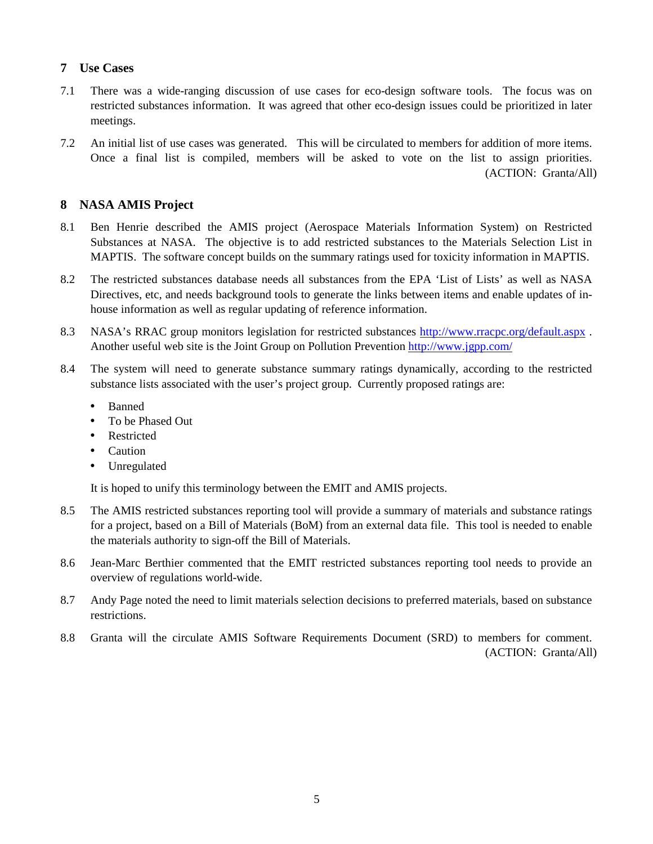## **7 Use Cases**

- 7.1 There was a wide-ranging discussion of use cases for eco-design software tools. The focus was on restricted substances information. It was agreed that other eco-design issues could be prioritized in later meetings.
- 7.2 An initial list of use cases was generated. This will be circulated to members for addition of more items. Once a final list is compiled, members will be asked to vote on the list to assign priorities. (ACTION: Granta/All)

# **8 NASA AMIS Project**

- 8.1 Ben Henrie described the AMIS project (Aerospace Materials Information System) on Restricted Substances at NASA. The objective is to add restricted substances to the Materials Selection List in MAPTIS. The software concept builds on the summary ratings used for toxicity information in MAPTIS.
- 8.2 The restricted substances database needs all substances from the EPA 'List of Lists' as well as NASA Directives, etc, and needs background tools to generate the links between items and enable updates of inhouse information as well as regular updating of reference information.
- 8.3 NASA's RRAC group monitors legislation for restricted substances http://www.rracpc.org/default.aspx . Another useful web site is the Joint Group on Pollution Prevention http://www.jgpp.com/
- 8.4 The system will need to generate substance summary ratings dynamically, according to the restricted substance lists associated with the user's project group. Currently proposed ratings are:
	- Banned
	- To be Phased Out
	- **Restricted**
	- Caution
	- Unregulated

It is hoped to unify this terminology between the EMIT and AMIS projects.

- 8.5 The AMIS restricted substances reporting tool will provide a summary of materials and substance ratings for a project, based on a Bill of Materials (BoM) from an external data file. This tool is needed to enable the materials authority to sign-off the Bill of Materials.
- 8.6 Jean-Marc Berthier commented that the EMIT restricted substances reporting tool needs to provide an overview of regulations world-wide.
- 8.7 Andy Page noted the need to limit materials selection decisions to preferred materials, based on substance restrictions.
- 8.8 Granta will the circulate AMIS Software Requirements Document (SRD) to members for comment. (ACTION: Granta/All)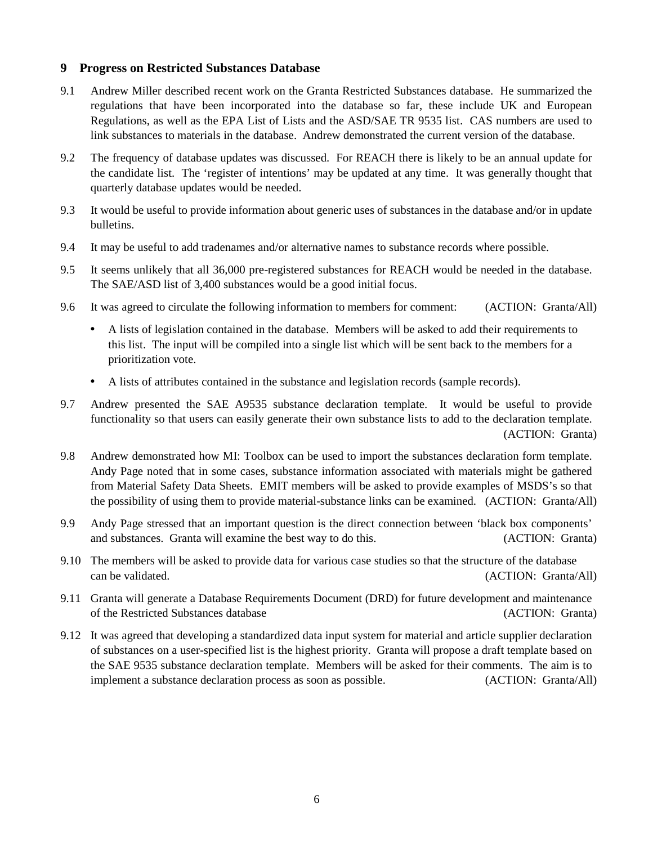#### **9 Progress on Restricted Substances Database**

- 9.1 Andrew Miller described recent work on the Granta Restricted Substances database. He summarized the regulations that have been incorporated into the database so far, these include UK and European Regulations, as well as the EPA List of Lists and the ASD/SAE TR 9535 list. CAS numbers are used to link substances to materials in the database. Andrew demonstrated the current version of the database.
- 9.2 The frequency of database updates was discussed. For REACH there is likely to be an annual update for the candidate list. The 'register of intentions' may be updated at any time. It was generally thought that quarterly database updates would be needed.
- 9.3 It would be useful to provide information about generic uses of substances in the database and/or in update bulletins.
- 9.4 It may be useful to add tradenames and/or alternative names to substance records where possible.
- 9.5 It seems unlikely that all 36,000 pre-registered substances for REACH would be needed in the database. The SAE/ASD list of 3,400 substances would be a good initial focus.
- 9.6 It was agreed to circulate the following information to members for comment: (ACTION: Granta/All)
	- A lists of legislation contained in the database. Members will be asked to add their requirements to this list. The input will be compiled into a single list which will be sent back to the members for a prioritization vote.
	- A lists of attributes contained in the substance and legislation records (sample records).
- 9.7 Andrew presented the SAE A9535 substance declaration template. It would be useful to provide functionality so that users can easily generate their own substance lists to add to the declaration template. (ACTION: Granta)
- 9.8 Andrew demonstrated how MI: Toolbox can be used to import the substances declaration form template. Andy Page noted that in some cases, substance information associated with materials might be gathered from Material Safety Data Sheets. EMIT members will be asked to provide examples of MSDS's so that the possibility of using them to provide material-substance links can be examined. (ACTION: Granta/All)
- 9.9 Andy Page stressed that an important question is the direct connection between 'black box components' and substances. Granta will examine the best way to do this. (ACTION: Granta)
- 9.10 The members will be asked to provide data for various case studies so that the structure of the database can be validated. (ACTION: Granta/All)
- 9.11 Granta will generate a Database Requirements Document (DRD) for future development and maintenance of the Restricted Substances database (ACTION: Granta)
- 9.12 It was agreed that developing a standardized data input system for material and article supplier declaration of substances on a user-specified list is the highest priority. Granta will propose a draft template based on the SAE 9535 substance declaration template. Members will be asked for their comments. The aim is to implement a substance declaration process as soon as possible. (ACTION: Granta/All)